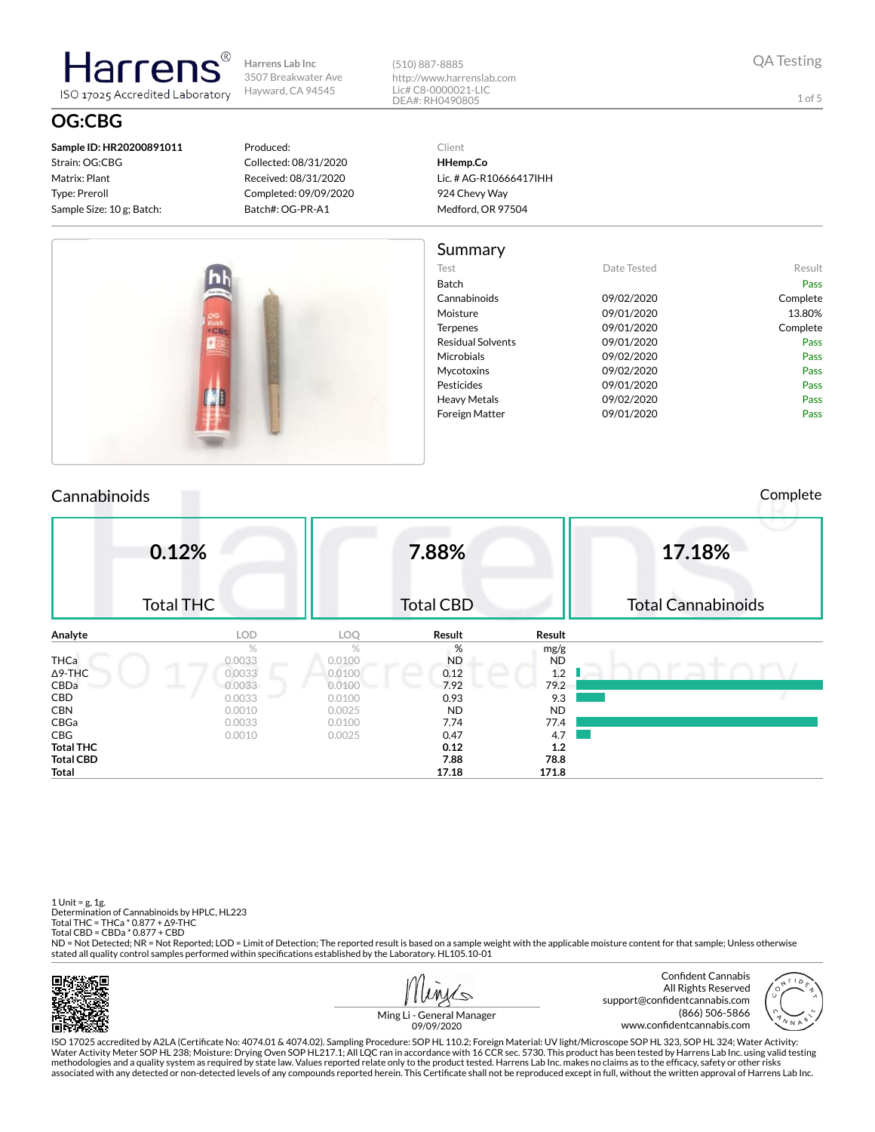**Sample ID: HR20200891011** Strain: OG:CBG Matrix: Plant Type: Preroll Sample Size: 10 g; Batch:

larrer

ISO 17025 Accredited Laboratory

# **OG:CBG**

Produced: Collected: 08/31/2020 Received: 08/31/2020 Completed: 09/09/2020 Batch#: OG-PR-A1

(510) 887-8885 http://www.harrenslab.com Lic# C8-0000021-LIC DEA#: RH0490805

Client

1 of 5

**HHemp.Co** Lic. # AG-R10666417IHH 924 Chevy Way Medford, OR 97504 Sur

| summary                  |             |          |
|--------------------------|-------------|----------|
| Test                     | Date Tested | Result   |
| Batch                    |             | Pass     |
| Cannabinoids             | 09/02/2020  | Complete |
| Moisture                 | 09/01/2020  | 13.80%   |
| Terpenes                 | 09/01/2020  | Complete |
| <b>Residual Solvents</b> | 09/01/2020  | Pass     |
| Microbials               | 09/02/2020  | Pass     |
| Mycotoxins               | 09/02/2020  | Pass     |
| Pesticides               | 09/01/2020  | Pass     |
| Heavy Metals             | 09/02/2020  | Pass     |
| Foreign Matter           | 09/01/2020  | Pass     |
|                          |             |          |

#### Cannabinoids Complete

|                  | 0.12%<br><b>Total THC</b> |        | 7.88%<br><b>Total CBD</b> |           | 17.18%<br><b>Total Cannabinoids</b> |
|------------------|---------------------------|--------|---------------------------|-----------|-------------------------------------|
| Analyte          | <b>LOD</b>                | LOQ    | Result                    | Result    |                                     |
|                  | %                         | $\%$   | %                         | mg/g      |                                     |
| THCa             | 0.0033                    | 0.0100 | <b>ND</b>                 | <b>ND</b> |                                     |
| ∆9-THC           | 0.0033                    | 0.0100 | 0.12                      | 1.2       |                                     |
| CBDa             | 0.0033                    | 0.0100 | 7.92                      | 79.2      |                                     |
| CBD              | 0.0033                    | 0.0100 | 0.93                      | 9.3       |                                     |
| CBN              | 0.0010                    | 0.0025 | <b>ND</b>                 | <b>ND</b> |                                     |
| CBGa             | 0.0033                    | 0.0100 | 7.74                      | 77.4      |                                     |
| CBG              | 0.0010                    | 0.0025 | 0.47                      | 4.7       |                                     |
| <b>Total THC</b> |                           |        | 0.12                      | 1.2       |                                     |
| <b>Total CBD</b> |                           |        | 7.88                      | 78.8      |                                     |
| Total            |                           |        | 17.18                     | 171.8     |                                     |

1 Unit = g, 1g. Determination of Cannabinoids by HPLC, HL223 Total THC = THCa \* 0.877 + ∆9-THC Total CBD = CBDa \* 0.877 + CBD

ND = Not Detected; NR = Not Reported; LOD = Limit of Detection; The reported result is based on a sample weight with the applicable moisture content for that sample; Unless otherwise stated all quality control samples performed within specifications established by the Laboratory. HL105.10-01







Ming Li - General Manager 09/09/2020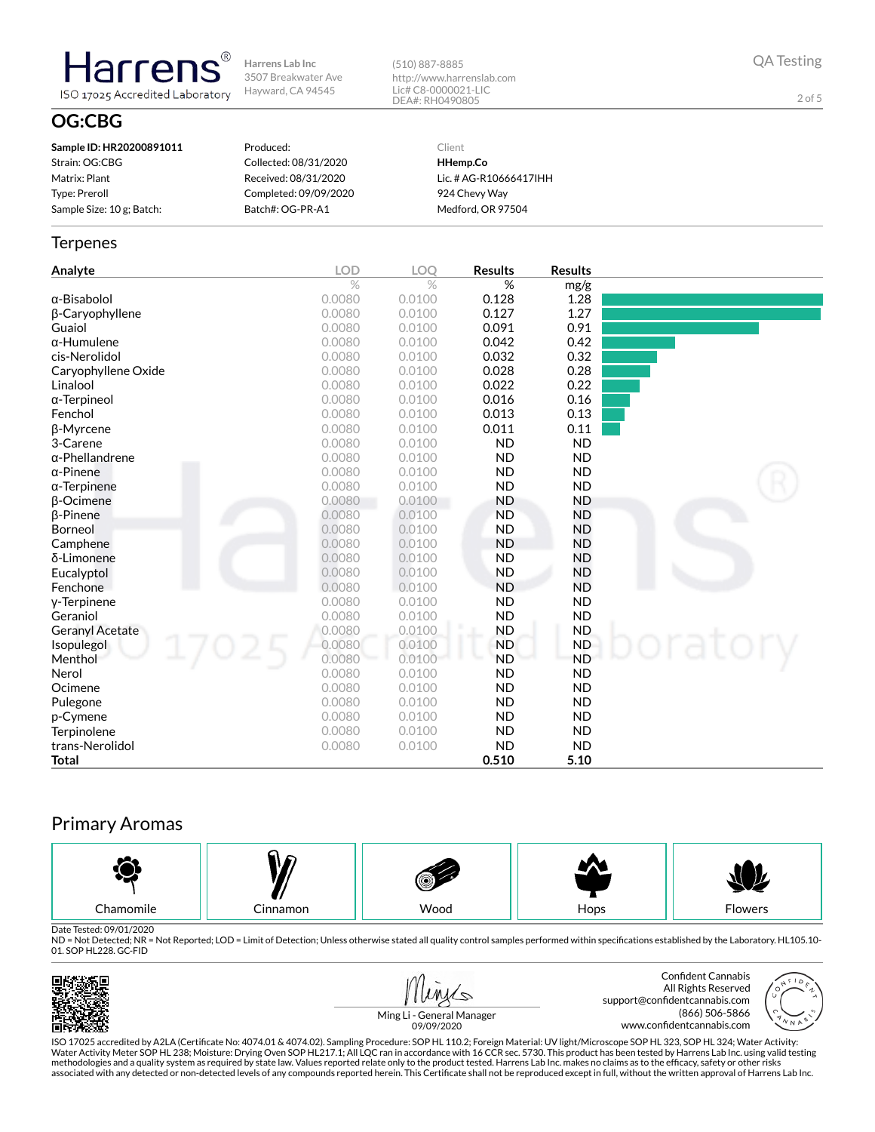(510) 887-8885 http://www.harrenslab.com Lic# C8-0000021-LIC DEA#: RH0490805

QA Testing

2 of 5

## **OG:CBG**

**Harrens** 

ISO 17025 Accredited Laboratory

| Sample ID: HR20200891011  | Produced:             | Client                 |
|---------------------------|-----------------------|------------------------|
| Strain: OG:CBG            | Collected: 08/31/2020 | HHemp.Co               |
| Matrix: Plant             | Received: 08/31/2020  | Lic. # AG-R10666417IHH |
| Type: Preroll             | Completed: 09/09/2020 | 924 Chevy Wav          |
| Sample Size: 10 g; Batch: | Batch#: OG-PR-A1      | Medford, OR 97504      |

#### **Terpenes**

| Analyte                | LOD    | LOQ    | <b>Results</b> | <b>Results</b> |  |
|------------------------|--------|--------|----------------|----------------|--|
|                        | $\%$   | $\%$   | %              | mg/g           |  |
| $\alpha$ -Bisabolol    | 0.0080 | 0.0100 | 0.128          | 1.28           |  |
| β-Caryophyllene        | 0.0080 | 0.0100 | 0.127          | 1.27           |  |
| Guaiol                 | 0.0080 | 0.0100 | 0.091          | 0.91           |  |
| $\alpha$ -Humulene     | 0.0080 | 0.0100 | 0.042          | 0.42           |  |
| cis-Nerolidol          | 0.0080 | 0.0100 | 0.032          | 0.32           |  |
| Caryophyllene Oxide    | 0.0080 | 0.0100 | 0.028          | 0.28           |  |
| Linalool               | 0.0080 | 0.0100 | 0.022          | 0.22           |  |
| $\alpha$ -Terpineol    | 0.0080 | 0.0100 | 0.016          | 0.16           |  |
| Fenchol                | 0.0080 | 0.0100 | 0.013          | 0.13           |  |
| <b>ß-Myrcene</b>       | 0.0080 | 0.0100 | 0.011          | 0.11           |  |
| 3-Carene               | 0.0080 | 0.0100 | <b>ND</b>      | <b>ND</b>      |  |
| $\alpha$ -Phellandrene | 0.0080 | 0.0100 | <b>ND</b>      | <b>ND</b>      |  |
| $\alpha$ -Pinene       | 0.0080 | 0.0100 | <b>ND</b>      | <b>ND</b>      |  |
| $\alpha$ -Terpinene    | 0.0080 | 0.0100 | <b>ND</b>      | <b>ND</b>      |  |
| $\beta$ -Ocimene       | 0.0080 | 0.0100 | <b>ND</b>      | <b>ND</b>      |  |
| <b>B-Pinene</b>        | 0.0080 | 0.0100 | <b>ND</b>      | <b>ND</b>      |  |
| Borneol                | 0.0080 | 0.0100 | <b>ND</b>      | <b>ND</b>      |  |
| Camphene               | 0.0080 | 0.0100 | <b>ND</b>      | <b>ND</b>      |  |
| δ-Limonene             | 0.0080 | 0.0100 | <b>ND</b>      | <b>ND</b>      |  |
| Eucalyptol             | 0.0080 | 0.0100 | <b>ND</b>      | <b>ND</b>      |  |
| Fenchone               | 0.0080 | 0.0100 | <b>ND</b>      | <b>ND</b>      |  |
| y-Terpinene            | 0.0080 | 0.0100 | <b>ND</b>      | <b>ND</b>      |  |
| Geraniol               | 0.0080 | 0.0100 | <b>ND</b>      | <b>ND</b>      |  |
| <b>Geranyl Acetate</b> | 0.0080 | 0.0100 | <b>ND</b>      | <b>ND</b>      |  |
| Isopulegol             | 0.0080 | 0.0100 | <b>ND</b>      | <b>ND</b>      |  |
| Menthol                | 0.0080 | 0.0100 | <b>ND</b>      | <b>ND</b>      |  |
| Nerol                  | 0.0080 | 0.0100 | <b>ND</b>      | <b>ND</b>      |  |
| Ocimene                | 0.0080 | 0.0100 | <b>ND</b>      | <b>ND</b>      |  |
| Pulegone               | 0.0080 | 0.0100 | <b>ND</b>      | <b>ND</b>      |  |
| p-Cymene               | 0.0080 | 0.0100 | <b>ND</b>      | <b>ND</b>      |  |
| Terpinolene            | 0.0080 | 0.0100 | <b>ND</b>      | <b>ND</b>      |  |
| trans-Nerolidol        | 0.0080 | 0.0100 | <b>ND</b>      | <b>ND</b>      |  |
| Total                  |        |        | 0.510          | 5.10           |  |

## Primary Aromas



Date Tested: 09/01/2020<br>ND = Not Detected; NR = Not Reported; LOD = Limit of Detection; Unless otherwise stated all quality control samples performed within specifications established by the Laboratory. HL105.10-01. SOP HL228. GC-FID







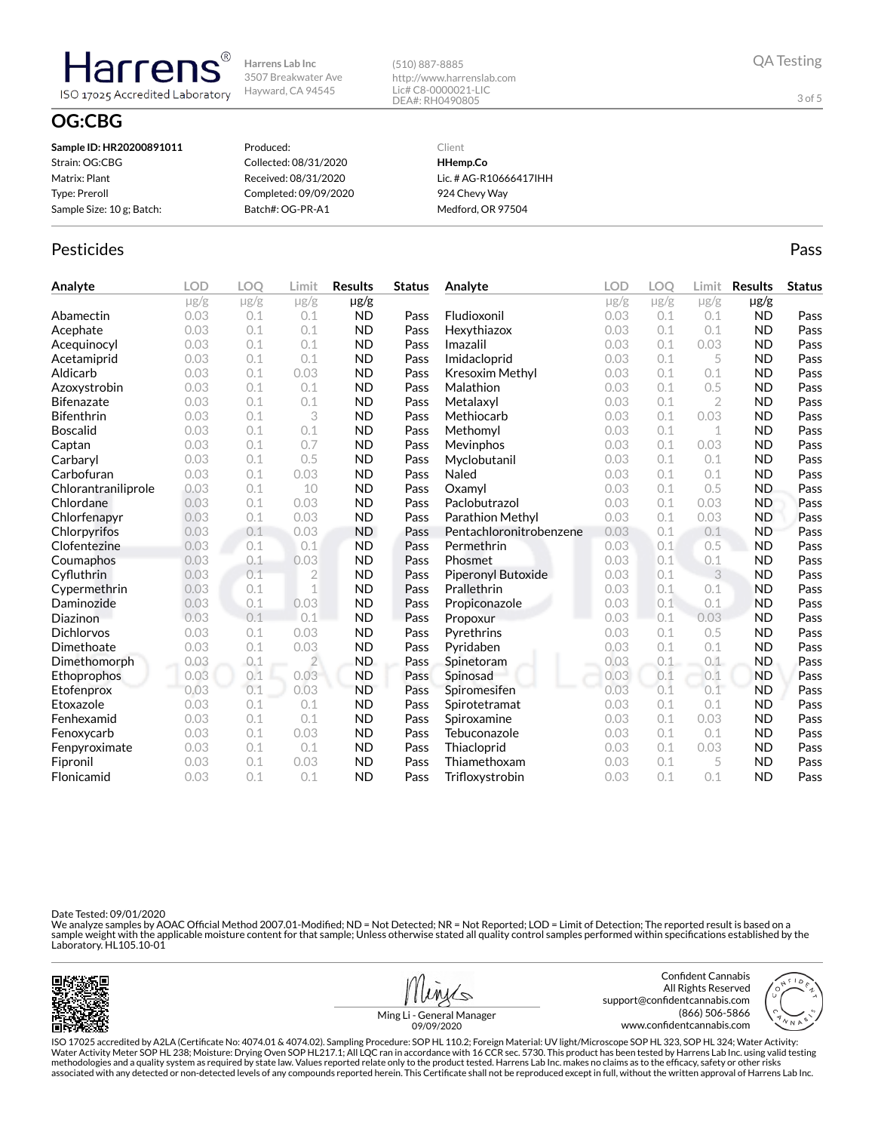(510) 887-8885 http://www.harrenslab.com Lic# C8-0000021-LIC DEA#: RH0490805

## **OG:CBG**

Harrens

ISO 17025 Accredited Laboratory

| Sample ID: HR20200891011  | Produced:             | Client                 |
|---------------------------|-----------------------|------------------------|
| Strain: OG:CBG            | Collected: 08/31/2020 | HHemp.Co               |
| Matrix: Plant             | Received: 08/31/2020  | Lic. # AG-R10666417IHH |
| Type: Preroll             | Completed: 09/09/2020 | 924 Chevy Way          |
| Sample Size: 10 g; Batch: | Batch#: OG-PR-A1      | Medford, OR 97504      |
|                           |                       |                        |

## Pesticides **Passage Community Community Community** Passes and the extension of the extension of the extension of the extension of the extension of the extension of the extension of the extension of the extension of the ext

| Analyte             | <b>LOD</b> | LOO       | Limit          | <b>Results</b> | <b>Status</b> | Analyte                 | <b>LOD</b> | <b>LOO</b> | Limit        | <b>Results</b> | <b>Status</b> |
|---------------------|------------|-----------|----------------|----------------|---------------|-------------------------|------------|------------|--------------|----------------|---------------|
|                     | $\mu$ g/g  | $\mu$ g/g | $\mu$ g/g      | $\mu$ g/g      |               |                         | $\mu$ g/g  | $\mu$ g/g  | $\mu$ g/g    | $\mu$ g/g      |               |
| Abamectin           | 0.03       | 0.1       | 0.1            | <b>ND</b>      | Pass          | Fludioxonil             | 0.03       | 0.1        | 0.1          | <b>ND</b>      | Pass          |
| Acephate            | 0.03       | 0.1       | 0.1            | <b>ND</b>      | Pass          | Hexythiazox             | 0.03       | 0.1        | 0.1          | <b>ND</b>      | Pass          |
| Acequinocyl         | 0.03       | 0.1       | 0.1            | <b>ND</b>      | Pass          | Imazalil                | 0.03       | 0.1        | 0.03         | <b>ND</b>      | Pass          |
| Acetamiprid         | 0.03       | 0.1       | 0.1            | <b>ND</b>      | Pass          | Imidacloprid            | 0.03       | 0.1        | 5            | <b>ND</b>      | Pass          |
| Aldicarb            | 0.03       | 0.1       | 0.03           | <b>ND</b>      | Pass          | Kresoxim Methyl         | 0.03       | 0.1        | 0.1          | <b>ND</b>      | Pass          |
| Azoxystrobin        | 0.03       | 0.1       | 0.1            | <b>ND</b>      | Pass          | Malathion               | 0.03       | 0.1        | 0.5          | <b>ND</b>      | Pass          |
| <b>Bifenazate</b>   | 0.03       | 0.1       | 0.1            | <b>ND</b>      | Pass          | Metalaxyl               | 0.03       | 0.1        | $\mathbf{2}$ | <b>ND</b>      | Pass          |
| <b>Bifenthrin</b>   | 0.03       | 0.1       | 3              | <b>ND</b>      | Pass          | Methiocarb              | 0.03       | 0.1        | 0.03         | <b>ND</b>      | Pass          |
| <b>Boscalid</b>     | 0.03       | 0.1       | 0.1            | <b>ND</b>      | Pass          | Methomyl                | 0.03       | 0.1        | 1            | <b>ND</b>      | Pass          |
| Captan              | 0.03       | 0.1       | 0.7            | <b>ND</b>      | Pass          | Mevinphos               | 0.03       | 0.1        | 0.03         | <b>ND</b>      | Pass          |
| Carbaryl            | 0.03       | 0.1       | 0.5            | <b>ND</b>      | Pass          | Myclobutanil            | 0.03       | 0.1        | 0.1          | <b>ND</b>      | Pass          |
| Carbofuran          | 0.03       | 0.1       | 0.03           | <b>ND</b>      | Pass          | Naled                   | 0.03       | 0.1        | 0.1          | <b>ND</b>      | Pass          |
| Chlorantraniliprole | 0.03       | 0.1       | 10             | <b>ND</b>      | Pass          | Oxamvl                  | 0.03       | 0.1        | 0.5          | <b>ND</b>      | Pass          |
| Chlordane           | 0.03       | 0.1       | 0.03           | <b>ND</b>      | Pass          | Paclobutrazol           | 0.03       | 0.1        | 0.03         | <b>ND</b>      | Pass          |
| Chlorfenapyr        | 0.03       | 0.1       | 0.03           | <b>ND</b>      | Pass          | Parathion Methyl        | 0.03       | 0.1        | 0.03         | <b>ND</b>      | Pass          |
| Chlorpyrifos        | 0.03       | 0.1       | 0.03           | <b>ND</b>      | Pass          | Pentachloronitrobenzene | 0.03       | 0.1        | 0.1          | <b>ND</b>      | Pass          |
| Clofentezine        | 0.03       | 0.1       | 0.1            | <b>ND</b>      | Pass          | Permethrin              | 0.03       | 0.1        | 0.5          | <b>ND</b>      | Pass          |
| Coumaphos           | 0.03       | 0.1       | 0.03           | <b>ND</b>      | Pass          | Phosmet                 | 0.03       | 0.1        | 0.1          | <b>ND</b>      | Pass          |
| Cyfluthrin          | 0.03       | 0.1       | $\overline{2}$ | <b>ND</b>      | Pass          | Piperonyl Butoxide      | 0.03       | 0.1        | 3            | <b>ND</b>      | Pass          |
| Cypermethrin        | 0.03       | 0.1       | $\mathbf 1$    | <b>ND</b>      | Pass          | Prallethrin             | 0.03       | 0.1        | 0.1          | <b>ND</b>      | Pass          |
| Daminozide          | 0.03       | 0.1       | 0.03           | <b>ND</b>      | Pass          | Propiconazole           | 0.03       | 0.1        | 0.1          | <b>ND</b>      | Pass          |
| Diazinon            | 0.03       | 0.1       | 0.1            | <b>ND</b>      | Pass          | Propoxur                | 0.03       | 0.1        | 0.03         | <b>ND</b>      | Pass          |
| Dichlorvos          | 0.03       | 0.1       | 0.03           | <b>ND</b>      | Pass          | Pyrethrins              | 0.03       | 0.1        | 0.5          | <b>ND</b>      | Pass          |
| Dimethoate          | 0.03       | 0.1       | 0.03           | <b>ND</b>      | Pass          | Pyridaben               | 0.03       | 0.1        | 0.1          | <b>ND</b>      | Pass          |
| Dimethomorph        | 0.03       | 0.1       | $\overline{2}$ | <b>ND</b>      | Pass          | Spinetoram              | 0.03       | 0.1        | 0.1          | <b>ND</b>      | Pass          |
| Ethoprophos         | 0.03       | 0.1       | 0.03           | <b>ND</b>      | Pass          | Spinosad                | 0.03       | 0.1        | 0.1          | <b>ND</b>      | Pass          |
| Etofenprox          | 0.03       | 0.1       | 0.03           | <b>ND</b>      | Pass          | Spiromesifen            | 0.03       | 0.1        | 0.1          | <b>ND</b>      | Pass          |
| Etoxazole           | 0.03       | 0.1       | 0.1            | <b>ND</b>      | Pass          | Spirotetramat           | 0.03       | 0.1        | 0.1          | <b>ND</b>      | Pass          |
| Fenhexamid          | 0.03       | 0.1       | 0.1            | <b>ND</b>      | Pass          | Spiroxamine             | 0.03       | 0.1        | 0.03         | <b>ND</b>      | Pass          |
| Fenoxycarb          | 0.03       | 0.1       | 0.03           | <b>ND</b>      | Pass          | Tebuconazole            | 0.03       | 0.1        | 0.1          | <b>ND</b>      | Pass          |
| Fenpyroximate       | 0.03       | 0.1       | 0.1            | <b>ND</b>      | Pass          | Thiacloprid             | 0.03       | 0.1        | 0.03         | <b>ND</b>      | Pass          |
| Fipronil            | 0.03       | 0.1       | 0.03           | <b>ND</b>      | Pass          | Thiamethoxam            | 0.03       | 0.1        | 5            | <b>ND</b>      | Pass          |
| Flonicamid          | 0.03       | 0.1       | 0.1            | <b>ND</b>      | Pass          | Trifloxystrobin         | 0.03       | 0.1        | 0.1          | <b>ND</b>      | Pass          |

Date Tested: 09/01/2020

We analyze samples by AOAC Official Method 2007.01-Modified; ND = Not Detected; NR = Not Reported; LOD = Limit of Detection; The reported result is based on a<br>sample weight with the applicable moisture content for that sam





3 of 5

Ming Li - General Manager 09/09/2020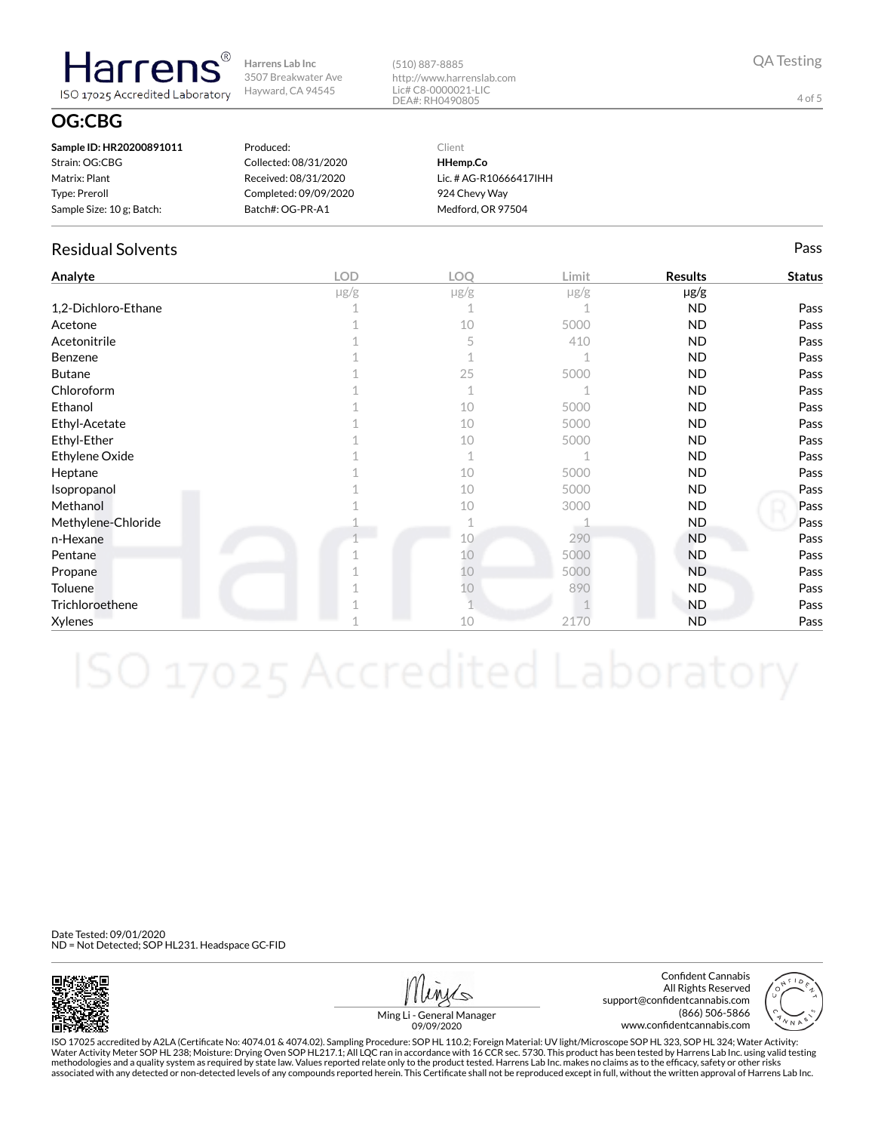(510) 887-8885 http://www.harrenslab.com Lic# C8-0000021-LIC DEA#: RH0490805

## **OG:CBG**

**Harrens** 

ISO 17025 Accredited Laboratory

| Sample ID: HR20200891011  | Produced:             | Client                 |
|---------------------------|-----------------------|------------------------|
| Strain: OG:CBG            | Collected: 08/31/2020 | HHemp.Co               |
| Matrix: Plant             | Received: 08/31/2020  | Lic. # AG-R10666417IHH |
| Type: Preroll             | Completed: 09/09/2020 | 924 Chevy Way          |
| Sample Size: 10 g; Batch: | Batch#: OG-PR-A1      | Medford, OR 97504      |

## Residual Solvents Pass

| Analyte             | <b>LOD</b> | LOQ       | Limit     | <b>Results</b> | <b>Status</b> |
|---------------------|------------|-----------|-----------|----------------|---------------|
|                     | $\mu$ g/g  | $\mu$ g/g | $\mu$ g/g | µg/g           |               |
| 1,2-Dichloro-Ethane |            |           |           | <b>ND</b>      | Pass          |
| Acetone             |            | 10        | 5000      | <b>ND</b>      | Pass          |
| Acetonitrile        |            | 5         | 410       | <b>ND</b>      | Pass          |
| Benzene             |            |           |           | <b>ND</b>      | Pass          |
| <b>Butane</b>       |            | 25        | 5000      | <b>ND</b>      | Pass          |
| Chloroform          |            | 1         |           | <b>ND</b>      | Pass          |
| Ethanol             |            | 10        | 5000      | <b>ND</b>      | Pass          |
| Ethyl-Acetate       |            | 10        | 5000      | <b>ND</b>      | Pass          |
| Ethyl-Ether         |            | 10        | 5000      | <b>ND</b>      | Pass          |
| Ethylene Oxide      |            | 1         |           | <b>ND</b>      | Pass          |
| Heptane             |            | 10        | 5000      | <b>ND</b>      | Pass          |
| Isopropanol         |            | 10        | 5000      | <b>ND</b>      | Pass          |
| Methanol            |            | 10        | 3000      | <b>ND</b>      | Pass          |
| Methylene-Chloride  |            |           |           | ND.            | Pass          |
| n-Hexane            |            | 10        | 290       | <b>ND</b>      | Pass          |
| Pentane             |            | 10        | 5000      | <b>ND</b>      | Pass          |
| Propane             |            | 10        | 5000      | ND.            | Pass          |
| Toluene             |            | 10        | 890       | ND.            | Pass          |
| Trichloroethene     |            |           |           | <b>ND</b>      | Pass          |
| Xylenes             |            | 10        | 2170      | <b>ND</b>      | Pass          |

Date Tested: 09/01/2020 ND = Not Detected; SOP HL231. Headspace GC-FID



Confident Cannabis All Rights Reserved support@confidentcannabis.com (866) 506-5866 www.confidentcannabis.com



Ming Li - General Manager 09/09/2020